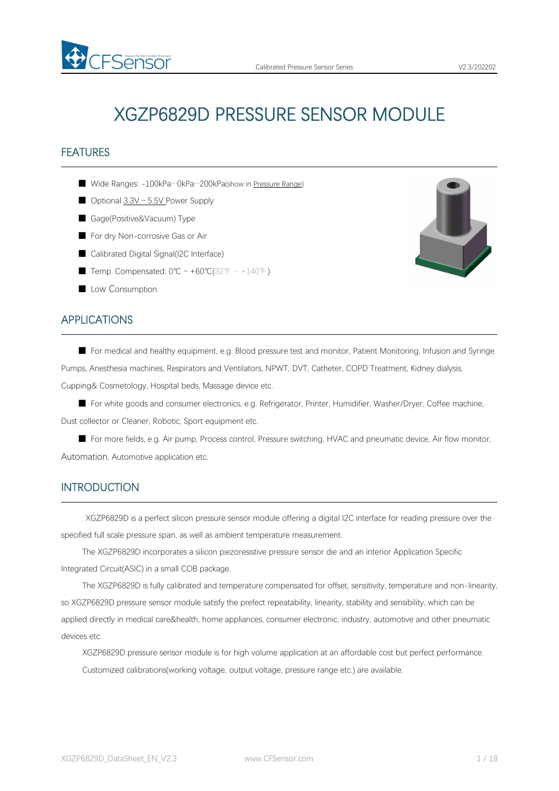

# XGZP6829D PRESSURE SENSOR MODULE

# **FEATURES**

- Wide Ranges: -100kPa…0kPa…200kPa(show in [Pressure](#page-4-0) Range)
- Optional 3.3V ~ 5.5V Power Supply
- Gage(Positive&Vacuum) Type

FSensor

- For dry Non-corrosive Gas or Air
- Calibrated Digital Signal(I2C Interface)
- Temp. Compensated: 0°C ~ +60°C(32°F ~ +140°F)
- Low Consumption.

# APPLICATIONS

■ For medical and healthy equipment, e.g. Blood pressure test and monitor, Patient Monitoring, Infusion and Syringe Pumps, Anesthesia machines, Respirators and Ventilators, NPWT, DVT, Catheter, COPD Treatment, Kidney dialysis, Cupping& Cosmetology, Hospital beds, Massage device etc.

■ For white goods and consumer electronics, e.g. Refrigerator, Printer, Humidifier, Washer/Dryer, Coffee machine, Dust collector or Cleaner, Robotic, Sport equipment etc.

■ For more fields, e.g. Air pump, Process control, Pressure switching, HVAC and pneumatic device, Air flow monitor, Automation, Automotive application etc.

#### INTRODUCTION

XGZP6829D is a perfect silicon pressure sensor module offering a digital I2C interface for reading pressure over the specified full scale pressure span, as well as ambient temperature measurement.

The XGZP6829D incorporates a silicon piezoresistive pressure sensor die and an interior Application Specific Integrated Circuit(ASIC) in a small COB package.

The XGZP6829D is fully calibrated and temperature compensated for offset, sensitivity, temperature and non-linearity, so XGZP6829D pressure sensor module satisfy the prefect repeatability, linearity, stability and sensibility, which can be applied directly in medical care&health, home appliances, consumer electronic, industry, automotive and other pneumatic devices etc.

XGZP6829D pressure sensor module is for high volume application at an affordable cost but perfect performance. Customized calibrations(working voltage, output voltage, pressure range etc.) are available.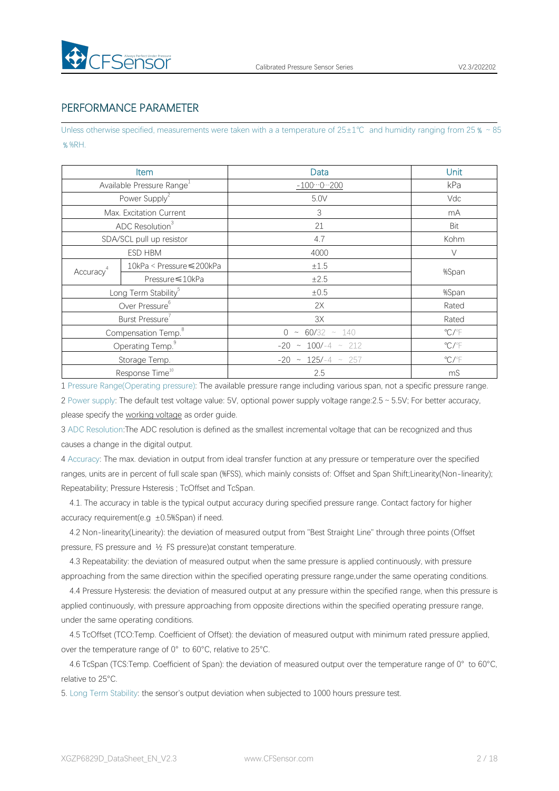

### PERFORMANCE PARAMETER

Unless otherwise specified, measurements were taken with a a temperature of 25±1℃ and humidity ranging from 25 % ~85 ﹪%RH.

|                                  | Item                                  | Data                       | Unit                       |  |
|----------------------------------|---------------------------------------|----------------------------|----------------------------|--|
|                                  | Available Pressure Range <sup>1</sup> | $-1000200$                 | kPa                        |  |
|                                  | Power Supply <sup>2</sup>             | 5.0V                       | Vdc                        |  |
|                                  | Max. Excitation Current               | $\ensuremath{\mathsf{3}}$  | mA                         |  |
|                                  | ADC Resolution <sup>3</sup>           | 21                         | Bit                        |  |
|                                  | SDA/SCL pull up resistor              | 4.7                        | Kohm                       |  |
|                                  | ESD HBM                               | 4000                       | $\vee$                     |  |
| Accuracy <sup>4</sup>            | 10kPa < Pressure ≤ 200kPa             | $\pm 1.5$                  | %Span                      |  |
|                                  | Pressure ≤ 10kPa                      | ±2.5                       |                            |  |
| Long Term Stability <sup>5</sup> |                                       | $\pm 0.5$                  | %Span                      |  |
| Over Pressure <sup>6</sup>       |                                       | 2X                         | Rated                      |  |
|                                  | Burst Pressure                        | 3X                         | Rated                      |  |
| Compensation Temp. <sup>8</sup>  |                                       | $0 \sim 60/32 \sim 140$    | $^{\circ}$ C/ $^{\circ}$ F |  |
| Operating Temp. <sup>9</sup>     |                                       | $-20 \sim 100/-4 \sim 212$ | $\mathrm{C}/\mathrm{F}$    |  |
|                                  | Storage Temp.                         | $-20 \sim 125/-4 \sim 257$ | $^{\circ}$ C/ $^{\circ}$ F |  |
|                                  | Response Time <sup>10</sup>           | 2.5                        | mS                         |  |

1 Pressure Range(Operating pressure): The available pressure range including variousspan, not a specific pressure range. 2 Power supply: The default test voltage value: 5V, optional power supply voltage range:2.5~5.5V; For better accuracy, please specify the [working](#page-4-1) voltage as order guide.

3 ADC Resolution:The ADC resolution is defined as the smallest incremental voltage that can be recognized and thus causes a change in the digital output.

4 Accuracy: The max. deviation in output from ideal transfer function at any pressure or temperature over the specified ranges, units are in percent of full scale span (%FSS), which mainly consists of: Offset and Span Shift;Linearity(Non-linearity); Repeatability; Pressure Hsteresis ; TcOffset and TcSpan.

4.1. The accuracy in table is the typical output accuracy during specified pressure range. Contact factory for higher accuracy requirement(e.g  $\pm$ 0.5%Span) if need.

4.2 Non-linearity(Linearity): the deviation of measured output from "Best Straight Line" through three points (Offset pressure, FS pressure and ½ FS pressure)at constant temperature.

4.3 Repeatability: the deviation of measured output when the same pressure is applied continuously, with pressure approaching from the same direction within the specified operating pressure range,under the same operating conditions.

4.4 Pressure Hysteresis: the deviation of measured output at any pressure within the specified range, when this pressure is applied continuously, with pressure approaching from opposite directions within the specified operating pressure range, under the same operating conditions.

4.5 TcOffset (TCO:Temp. Coefficient of Offset): the deviation of measured output with minimum rated pressure applied, over the temperature range of 0° to 60°C, relative to 25°C.

4.6 TcSpan (TCS:Temp. Coefficient of Span): the deviation of measured output over the temperature range of 0° to 60°C, relative to 25°C.

5. Long Term Stability: the sensor's output deviation when subjected to 1000 hours pressure test.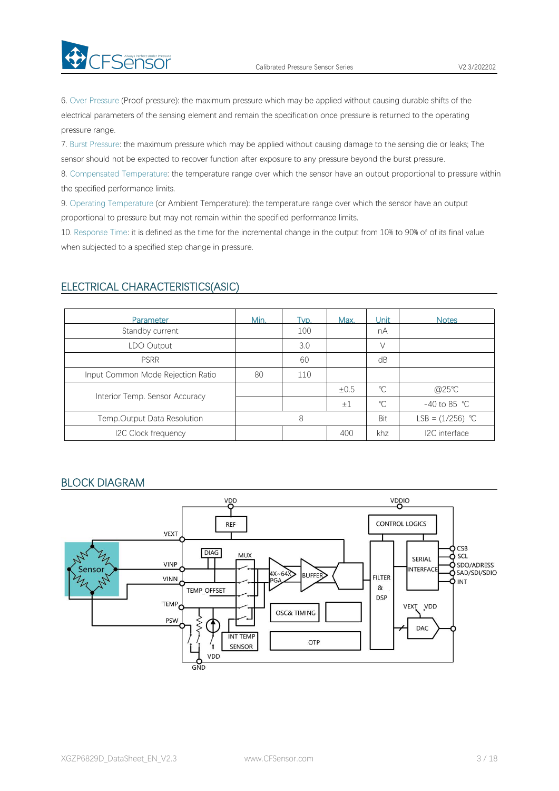6. Over Pressure (Proof pressure): the maximum pressure which may be applied without causing durable shifts of the electrical parameters of the sensing element and remain the specification once pressure is returned to the operating pressure range.

7. Burst Pressure: the maximum pressure which may be applied without causing damage to the sensing die or leaks; The sensor should not be expected to recover function after exposure to any pressure beyond the burst pressure.

8. Compensated Temperature: the temperature range over which the sensor have an output proportional to pressure within the specified performance limits.

9. Operating Temperature (or Ambient Temperature): the temperature range over which the sensor have an output proportional to pressure but may not remain within the specified performance limits.

10. Response Time: it is defined as the time for the incremental change in the output from 10% to 90% of of its final value when subjected to a specified step change in pressure.

| Parameter                         | Min. | Tvp. | Max.    | Unit         | <b>Notes</b>           |
|-----------------------------------|------|------|---------|--------------|------------------------|
| Standby current                   |      | 100  |         | nA           |                        |
| LDO Output                        |      | 3.0  |         |              |                        |
| <b>PSRR</b>                       |      | 60   |         | dB           |                        |
| Input Common Mode Rejection Ratio | 80   | 110  |         |              |                        |
| Interior Temp. Sensor Accuracy    |      |      | ±0.5    | $^{\circ}C$  | @25°C                  |
|                                   |      |      | $\pm 1$ | $\mathrm{C}$ | -40 to 85 $^{\circ}$ C |
| Temp.Output Data Resolution       |      | 8    |         | Bit          | LSB = $(1/256)$ °C     |
| I2C Clock frequency               |      |      | 400     | khz          | I2C interface          |

#### ELECTRICAL CHARACTERISTICS(ASIC)

**Ex** CFSensor

#### BLOCK DIAGRAM

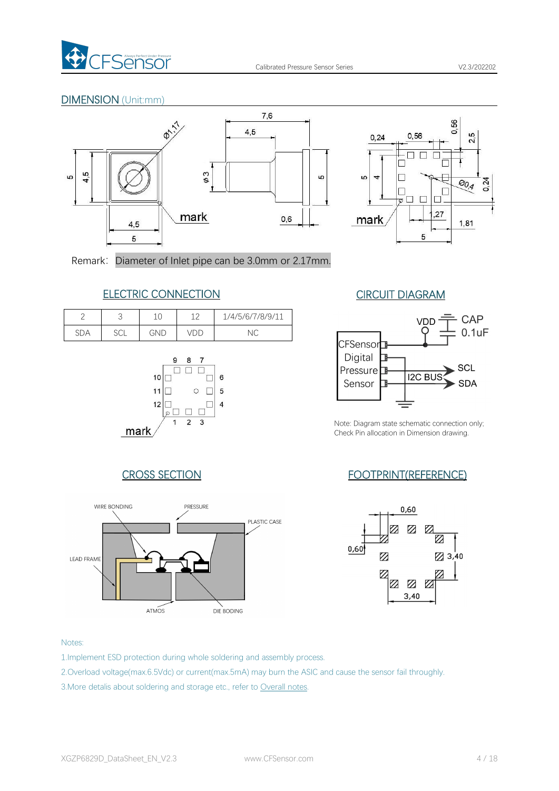

#### DIMENSION (Unit:mm)





Remark: Diameter of Inlet pipe can be 3.0mm or 2.17mm.

# ELECTRIC CONNECTION CIRCUIT DIAGRAM

|            | ◡             | ◡   | 1 <sub>0</sub> | 1/4/5/6/7/8/9/11 |
|------------|---------------|-----|----------------|------------------|
| <b>SDA</b> | $\cap$<br>ししL | GND |                | $\sim$<br>⊇      |
|            |               |     |                |                  |





Note: Diagram state schematic connection only; Check Pin allocation in Dimension drawing.

# CROSS SECTION FOOTPRINT(REFERENCE)





#### Notes:

- 1.Implement ESD protection during whole soldering and assembly process.
- 2.Overload voltage(max.6.5Vdc) or current(max.5mA) may burn the ASIC and cause the sensor fail throughly.
- 3.More detalis about soldering and storage etc., refer to [Overall](#page-8-0) notes.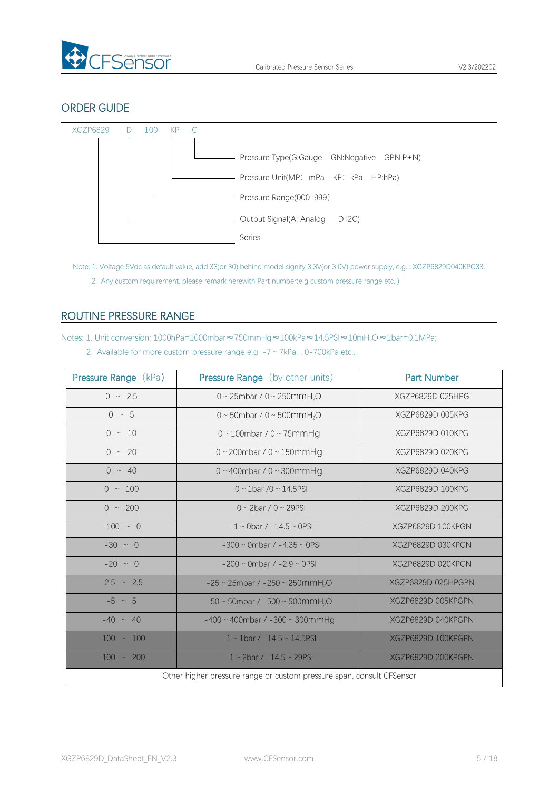

### ORDER GUIDE



<span id="page-4-1"></span>Note: 1. Voltage 5Vdc as default value, add 33(or 30) behind model signify 3.3V(or 3.0V) power supply, e.g. : XGZP6829D040KPG33. 2. Any custom requirement, please remark herewith Part number(e.g custom pressure range etc,.)

# <span id="page-4-0"></span>ROUTINE PRESSURE RANGE

Notes: 1. Unit conversion: 1000hPa=1000mbar≈750mmHg≈100kPa≈14.5PSI≈10mH<sub>2</sub>O≈1bar=0.1MPa;

| 2. Available for more custom pressure range e.g. $-7 \sim 7kPa$ , , 0-700kPa etc. |  |
|-----------------------------------------------------------------------------------|--|
|-----------------------------------------------------------------------------------|--|

| <b>Pressure Range (kPa)</b>                                           | Pressure Range (by other units)                         | <b>Part Number</b> |  |  |  |  |
|-----------------------------------------------------------------------|---------------------------------------------------------|--------------------|--|--|--|--|
| $0 \sim 2.5$                                                          | 0 ~ 25mbar / 0 ~ 250mmH <sub>2</sub> O                  | XGZP6829D 025HPG   |  |  |  |  |
| $0 \sim 5$                                                            | 0 ~ 50mbar / 0 ~ 500mmH <sub>2</sub> O                  | XGZP6829D 005KPG   |  |  |  |  |
| $0 \sim 10$                                                           | $0 \sim 100$ mbar / $0 \sim 75$ mmHg                    | XGZP6829D 010KPG   |  |  |  |  |
| $0 \sim 20$                                                           | $0 \sim 200$ mbar / $0 \sim 150$ mmHg                   | XGZP6829D 020KPG   |  |  |  |  |
| $0 \sim 40$                                                           | $0 \sim 400$ mbar / $0 \sim 300$ mmHg                   | XGZP6829D 040KPG   |  |  |  |  |
| $0 \sim 100$                                                          | $0 \sim 1$ bar /0 ~ 14.5PSI                             | XGZP6829D 100KPG   |  |  |  |  |
| $0 \sim 200$                                                          | $0 \sim 2$ bar / $0 \sim 29$ PSI                        | XGZP6829D 200KPG   |  |  |  |  |
| $-100 \sim 0$                                                         | $-1 \sim$ 0bar / $-14.5 \sim$ 0PSI                      | XGZP6829D 100KPGN  |  |  |  |  |
| $-30 \sim 0$                                                          | $-300 \sim$ 0mbar / $-4.35 \sim$ 0PSI                   | XGZP6829D 030KPGN  |  |  |  |  |
| $-20 \sim 0$                                                          | $-200 \sim$ 0mbar / $-2.9 \sim$ 0PSI                    | XGZP6829D 020KPGN  |  |  |  |  |
| $-2.5 \sim 2.5$                                                       | $-25 \sim 25$ mbar / $-250 \sim 250$ mmH <sub>2</sub> O | XGZP6829D 025HPGPN |  |  |  |  |
| $-5 \sim 5$                                                           | $-50 \sim 50$ mbar / $-500 \sim 500$ mmH <sub>2</sub> O | XGZP6829D 005KPGPN |  |  |  |  |
| $-40 \sim 40$                                                         | $-400 \sim 400$ mbar / $-300 \sim 300$ mmHg             | XGZP6829D 040KPGPN |  |  |  |  |
| $-100 \sim 100$                                                       | $-1 \sim 1$ bar / $-14.5 \sim 14.5$ PSI                 | XGZP6829D 100KPGPN |  |  |  |  |
| $-100 \sim 200$                                                       | $-1 \sim 2$ bar / $-14.5 \sim 29$ PSI                   | XGZP6829D 200KPGPN |  |  |  |  |
| Other higher pressure range or custom pressure span, consult CFSensor |                                                         |                    |  |  |  |  |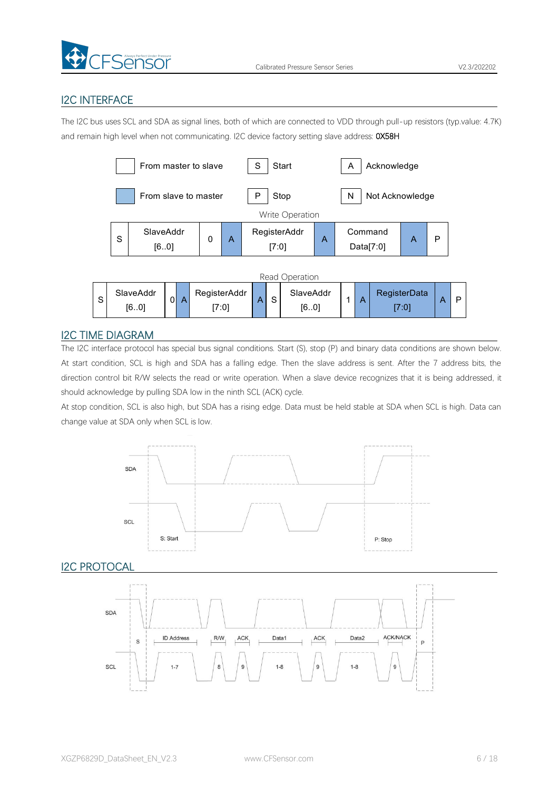

# I2C INTERFACE

The I2C bus uses SCL and SDA as signal lines, both of which are connected to VDD through pull-up resistors (typ.value: 4.7K) and remain high level when not communicating. I2C device factory setting slave address: 0X58H



#### I2C TIME DIAGRAM

The I2C interface protocol has special bus signal conditions. Start (S), stop (P) and binary data conditions are shown below. At start condition, SCL is high and SDA has a falling edge. Then the slave address is sent. After the 7 address bits, the direction control bit R/W selects the read or write operation. When a slave device recognizes that it is being addressed, it should acknowledge by pulling SDA low in the ninth SCL (ACK) cycle.

At stop condition, SCL is also high, but SDA has a rising edge. Data must be held stable at SDA when SCL is high. Data can change value at SDA only when SCL is low.



**I2C PROTOCAL** 

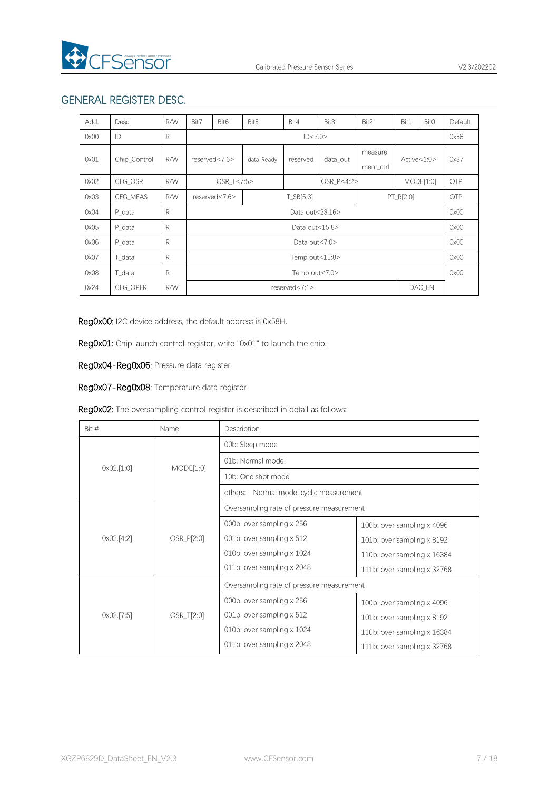

# GENERAL REGISTER DESC.

| Add. | Desc.        | R/W          | Bit7 | Bit <sub>6</sub>           | Bit5                               | Bit4       | Bit3                 | Bit2          | Bit1      | Bit <sub>0</sub> | Default    |
|------|--------------|--------------|------|----------------------------|------------------------------------|------------|----------------------|---------------|-----------|------------------|------------|
| 0x00 | ID           | R            |      |                            |                                    | ID < 7:0>  |                      |               |           |                  | 0x58       |
| 0x01 | Chip_Control | R/W          |      | reserved<7:6>              | data Ready<br>data_out<br>reserved |            | measure<br>ment_ctrl | Active < 1:0> |           | 0x37             |            |
| 0x02 | CFG OSR      | R/W          |      | OSR T<7:5>                 |                                    | OSR P<4:2> |                      |               | MODE[1:0] |                  | <b>OTP</b> |
| 0x03 | CFG MEAS     | R/W          |      | T_SB[5:3]<br>reserved<7:6> |                                    |            |                      | PT_R[2:0]     |           | <b>OTP</b>       |            |
| 0x04 | P data       | R            |      | Data out<23:16>            |                                    |            |                      |               |           | 0x00             |            |
| 0x05 | P data       | R            |      | Data out<15:8>             |                                    |            |                      |               | 0x00      |                  |            |
| 0x06 | P data       | R            |      | Data out<7:0>              |                                    |            |                      | 0x00          |           |                  |            |
| 0x07 | T data       | R            |      | Temp out<15:8>             |                                    |            |                      |               | 0x00      |                  |            |
| 0x08 | T data       | $\mathsf{R}$ |      | Temp out<7:0>              |                                    |            |                      |               |           | 0x00             |            |
| 0x24 | CFG OPER     | R/W          |      | DAC_EN<br>reserved<7:1>    |                                    |            |                      |               |           |                  |            |

Reg0x00: I2C device address, the default address is 0x58H.

Reg0x01: Chip launch control register, write "0x01" to launch the chip.

Reg0x04-Reg0x06: Pressure data register

Reg0x07-Reg0x08: Temperature data register

| Bit #                 | Name       | Description                                |                                   |  |  |
|-----------------------|------------|--------------------------------------------|-----------------------------------|--|--|
|                       |            | 00b: Sleep mode                            |                                   |  |  |
| $0 \times 02$ . [1:0] | MODE[1:0]  | 01b: Normal mode                           |                                   |  |  |
|                       |            | 10b: One shot mode                         |                                   |  |  |
|                       |            | Normal mode, cyclic measurement<br>others: |                                   |  |  |
|                       |            | Oversampling rate of pressure measurement  |                                   |  |  |
|                       | OSR_P[2:0] | 000b: over sampling x 256                  | 100b: over sampling $\times$ 4096 |  |  |
| 0x02.[4:2]            |            | 001b: over sampling x 512                  | 101b: over sampling $\times$ 8192 |  |  |
|                       |            | 010b: over sampling x 1024                 | 110b: over sampling x 16384       |  |  |
|                       |            | 011b: over sampling x 2048                 | 111b: over sampling x 32768       |  |  |
|                       |            | Oversampling rate of pressure measurement  |                                   |  |  |
|                       | OSR_T[2:0] | 000b: over sampling x 256                  | 100b: over sampling $\times$ 4096 |  |  |
| 0x02.[7:5]            |            | 001b: over sampling x 512                  | 101b: over sampling x 8192        |  |  |
|                       |            | 010b: over sampling $\times$ 1024          | 110b: over sampling x 16384       |  |  |
|                       |            | 011b: over sampling x 2048                 | 111b: over sampling x 32768       |  |  |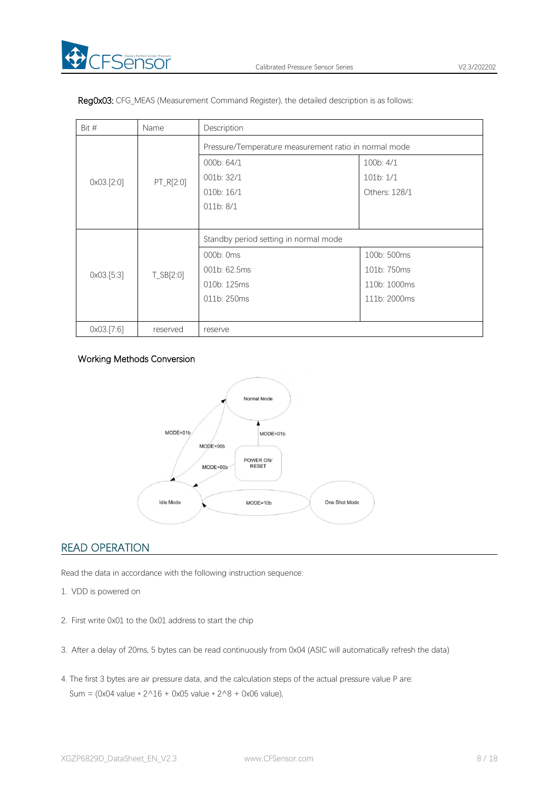

| Bit $#$<br>Name       |              | Description                                           |               |  |  |  |
|-----------------------|--------------|-------------------------------------------------------|---------------|--|--|--|
| $0 \times 03$ . [2:0] | PT_R[2:0]    | Pressure/Temperature measurement ratio in normal mode |               |  |  |  |
|                       |              | 000b: 64/1                                            | 100b: 4/1     |  |  |  |
|                       |              | 001b: 32/1                                            | 101b:1/1      |  |  |  |
|                       |              | 010b: 16/1                                            | Others: 128/1 |  |  |  |
|                       |              | 011b: 8/1                                             |               |  |  |  |
|                       |              |                                                       |               |  |  |  |
|                       | $T_S B[2:0]$ | Standby period setting in normal mode                 |               |  |  |  |
|                       |              | 000b: 0ms                                             | 100b: 500ms   |  |  |  |
| 0x03.[5:3]            |              | 001b: 62.5ms                                          | 101b: 750ms   |  |  |  |
|                       |              | 010b: 125ms                                           | 110b: 1000ms  |  |  |  |
|                       |              | 011b: 250ms                                           | 111b: 2000ms  |  |  |  |
|                       |              |                                                       |               |  |  |  |
| 0x03.[7:6]            | reserved     | reserve                                               |               |  |  |  |

Reg0x03: CFG\_MEAS (Measurement Command Register), the detailed description is as follows:

#### Working Methods Conversion



# READ OPERATION

Read the data in accordance with the following instruction sequence:

- 1. VDD is powered on
- 2. First write 0x01 to the 0x01 address to start the chip
- 3. After a delay of 20ms, 5 bytes can be read continuously from 0x04 (ASIC will automatically refresh the data)
- 4. The first 3 bytes are air pressure data, and the calculation steps of the actual pressure value P are: Sum = (0x04 value  $* 2^16 + 0x05$  value  $* 2^8 + 0x06$  value),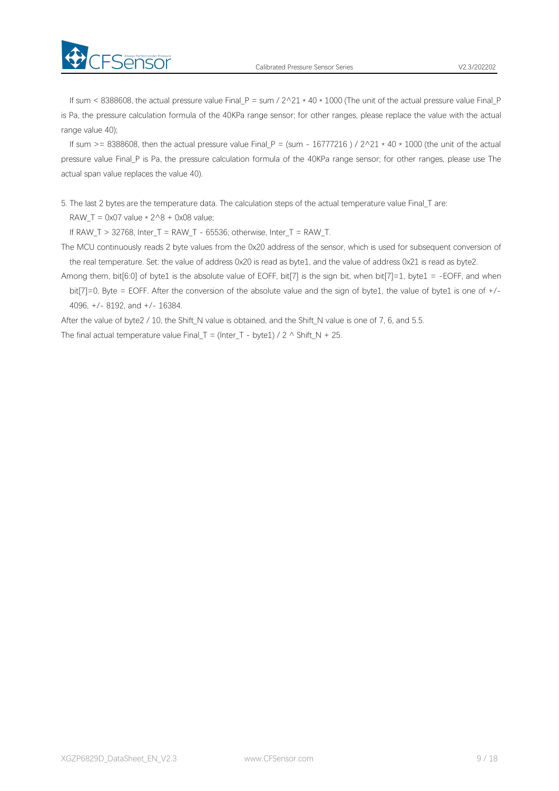

If sum < 8388608, the actual pressure value Final P = sum /  $2^2 + 40 \times 1000$  (The unit of the actual pressure value Final P is Pa, the pressure calculation formula of the 40KPa range sensor; for other ranges, please replace the value with the actual range value 40);

If sum >= 8388608, then the actual pressure value Final P = (sum - 16777216 ) /  $2^2$  + 40  $*$  1000 (the unit of the actual pressure value Final\_P is Pa, the pressure calculation formula of the 40KPa range sensor; for other ranges, please use The actual span value replaces the value 40).

5. The last 2 bytes are the temperature data. The calculation steps of the actual temperature value Final\_T are:

RAW T = 0x07 value  $*$  2^8 + 0x08 value;

FSensor

If RAW\_T > 32768, Inter\_T = RAW\_T - 65536; otherwise, Inter\_T = RAW\_T.

The MCU continuously reads 2 byte values from the 0x20 address of the sensor, which is used for subsequent conversion of the real temperature. Set: the value of address 0x20 is read as byte1, and the value of address 0x21 is read as byte2.

Among them, bit $[6:0]$  of byte1 is the absolute value of EOFF, bit[7] is the sign bit, when bit[7]=1, byte1 = -EOFF, and when bit[7]=0, Byte = EOFF. After the conversion of the absolute value and the sign of byte1, the value of byte1 is one of +/- 4096, +/- 8192, and +/- 16384.

After the value of byte2 / 10, the Shift\_N value is obtained, and the Shift\_N value is one of 7, 6, and 5.5.

<span id="page-8-0"></span>The final actual temperature value Final T = (Inter T - byte1) / 2  $\land$  Shift N + 25.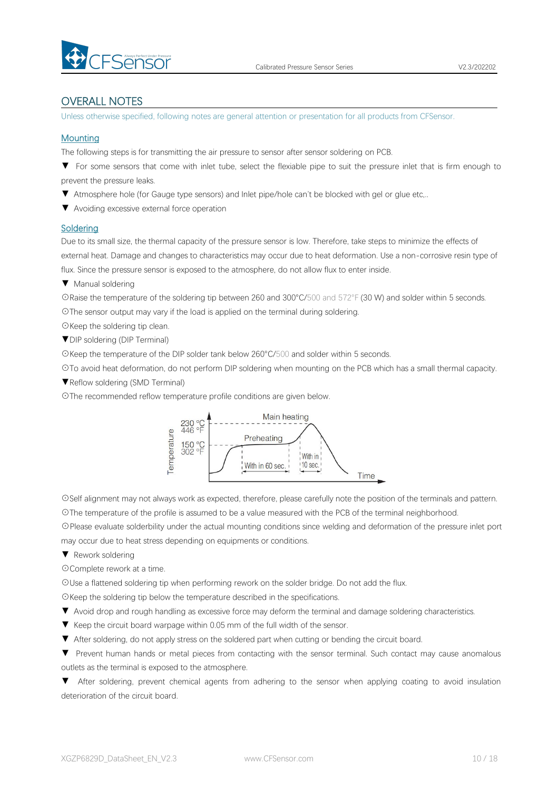

### OVERALL NOTES

Unless otherwise specified, following notes are general attention or presentation for all products from CFSensor.

#### **Mounting**

The following steps is for transmitting the air pressure to sensor after sensor soldering on PCB.

▼ For some sensors that come with inlet tube, select the flexiable pipe to suit the pressure inlet that is firm enough to prevent the pressure leaks.

▼ Atmosphere hole (for Gauge type sensors) and Inlet pipe/hole can't be blocked with gel or glue etc,..

▼ Avoiding excessive external force operation

#### **Soldering**

Due to its small size, the thermal capacity of the pressure sensor is low. Therefore, take steps to minimize the effects of external heat. Damage and changes to characteristics may occur due to heat deformation. Use a non-corrosive resin type of flux. Since the pressure sensor is exposed to the atmosphere, do not allow flux to enter inside.

▼ Manual soldering

☉Raise the temperature of the soldering tip between 260 and 300°C/500 and 572°F (30 W) and solder within 5 seconds. ☉The sensor output may vary if the load is applied on the terminal during soldering.

☉Keep the soldering tip clean.

▼DIP soldering (DIP Terminal)

☉Keep the temperature of the DIP solder tank below 260°C/500 and solder within 5 seconds.

☉To avoid heat deformation, do not perform DIP soldering when mounting on the PCB which has a small thermal capacity.

▼Reflow soldering (SMD Terminal)

☉The recommended reflow temperature profile conditions are given below.



☉Self alignment may not always work as expected, therefore, please carefully note the position of the terminals and pattern. ☉The temperature of the profile is assumed to be a value measured with the PCB of the terminal neighborhood.

☉Please evaluate solderbility under the actual mounting conditions since welding and deformation of the pressure inlet port may occur due to heat stress depending on equipments or conditions.

▼ Rework soldering

☉Complete rework at a time.

☉Use a flattened soldering tip when performing rework on the solder bridge. Do not add the flux.

☉Keep the soldering tip below the temperature described in the specifications.

- ▼ Avoid drop and rough handling as excessive force may deform the terminal and damage soldering characteristics.
- 
- ▼ Keep the circuit board warpage within 0.05 mm of the full width of the sensor.<br>▼ After soldering, do not apply stress on the soldered part when cutting or bending the circuit board.

▼ Prevent human hands or metal pieces from contacting with the sensor terminal. Such contact may cause anomalous outlets as the terminal is exposed to the atmosphere.

▼ After soldering, prevent chemical agents from adhering to the sensor when applying coating to avoid insulation deterioration of the circuit board.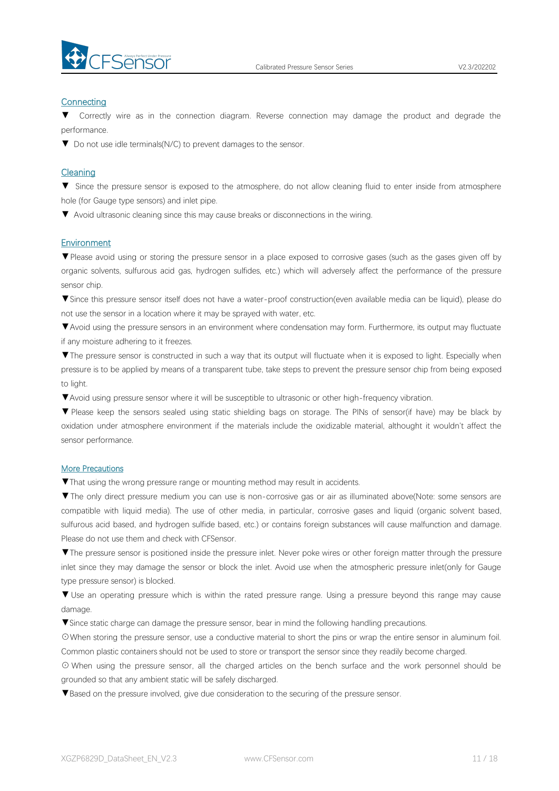

#### **Connecting**

Correctly wire as in the connection diagram. Reverse connection may damage the product and degrade the performance.

▼ Do not use idle terminals(N/C) to prevent damages to the sensor.

#### Cleaning

▼ Since the pressure sensor is exposed to the atmosphere, do not allow cleaning fluid to enter inside from atmosphere hole (for Gauge type sensors) and inlet pipe.

▼ Avoid ultrasonic cleaning since this may cause breaks or disconnections in the wiring.

#### Environment

▼Please avoid using or storing the pressure sensor in a place exposed to corrosive gases (such as the gases given off by organic solvents, sulfurous acid gas, hydrogen sulfides, etc.) which will adversely affect the performance of the pressure sensor chip.

▼Since this pressure sensor itself does not have a water-proof construction(even available media can be liquid), please do not use the sensor in alocation where it may be sprayed with water, etc.

▼Avoid using the pressure sensors in an environment where condensation may form. Furthermore, its output may fluctuate if any moisture adhering to it freezes.

▼The pressure sensor is constructed in such a way that its output will fluctuate when it is exposed to light. Especially when pressure is to be applied by means of a transparent tube, take steps to prevent the pressure sensor chip from being exposed to light.

▼Avoid using pressure sensor where it will be susceptible to ultrasonic or other high-frequency vibration.

▼ Please keep the sensors sealed using static shielding bags on storage. The PINs of sensor(if have) may be black by oxidation under atmosphere environment if the materials include the oxidizable material, althought it wouldn't affect the sensor performance.

#### More Precautions

▼That using the wrong pressure range or mounting method mayresult in accidents.

▼The only direct pressure medium you can use is non-corrosive gas or air as illuminated above(Note: some sensors are compatible with liquid media). The use of other media, in particular, corrosive gases and liquid (organic solvent based, sulfurous acid based, and hydrogen sulfide based, etc.) or contains foreign substances will cause malfunction and damage.<br>Please do not use them and check with CFSensor.

▼The pressure sensor is positioned inside the pressure inlet. Never poke wires orother foreign matter through the pressure inlet since they may damage the sensor or block the inlet. Avoid use when the atmospheric pressure inlet(only for Gauge type pressure sensor) is blocked.

▼ Use an operating pressure which is within the rated pressure range. Using a pressure beyond this range may cause damage.

▼Since static charge can damage the pressure sensor, bear in mind the following handling precautions.

☉When storing the pressure sensor, use a conductive material to short the pins or wrap the entire sensor in aluminum foil. Common plastic containers should not be used to store or transport the sensor since they readily become charged.

⊙ When using the pressure sensor, all the charged articles on the bench surface and the work personnel should be grounded so that any ambient static will be safely discharged.

▼Based on the pressure involved, give due consideration to the securing of the pressure sensor.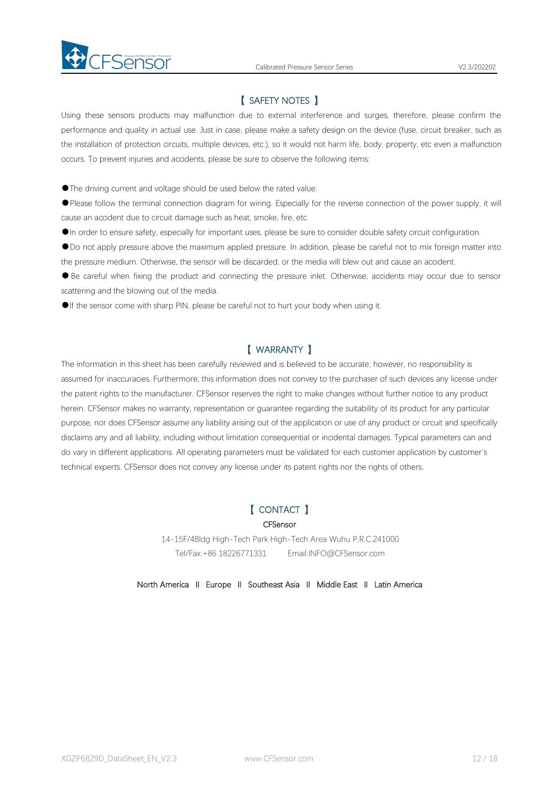

### 【 SAFETY NOTES 】

Using these sensors products may malfunction due to external interference and surges, therefore, please confirm the performance and quality in actual use. Just in case, please make a safety design on the device (fuse, circuit breaker, such as the installation of protection circuits, multiple devices, etc.), so it would not harm life, body, property, etc even amalfunction occurs. To prevent injuries and accidents, please be sure to observe the following items:

●The driving current and voltage should be used below the rated value.

●Please follow the terminal connection diagram for wiring. Especially for the reverse connection of the power supply, it will cause an accident due to circuit damage such as heat, smoke, fire, etc.

●In order to ensure safety, especially for important uses, please be sure to consider double safety circuit configuration.

●Do not apply pressure above the maximum applied pressure. In addition, please be careful not to mix foreign matter into

the pressure medium. Otherwise, the sensor will be discarded, or the media will blew out and cause an accident.<br>• Be careful when fixing the product and connecting the pressure inlet. Otherwise, accidents may occur due to scattering and the blowing out of the media.

●If the sensor come with sharp PIN, please be careful not to hurt your body when using it.

### 【 WARRANTY 】

The information in this sheet has been carefully reviewed and is believed to be accurate; however, no responsibility is assumed for inaccuracies. Furthermore, this information does not convey to the purchaser of such devices any license under the patent rights to the manufacturer. CFSensor reserves the right to make changes without further notice to any product herein. CFSensor makes no warranty, representation or guarantee regarding the suitability of its product for any particular purpose, nor does CFSensor assume any liability arising out of the application or use of any product or circuit and specifically disclaims any and all liability, including without limitation consequential or incidental damages. Typical parameters can and do varyin different applications. All operating parameters must be validated for each customer application by customer's technical experts. CFSensor does not convey any license under its patent rights nor the rights of others.

# 【 CONTACT 】

#### **CFSensor**

14-15F/4Bldg High-Tech Park High-Tech Area Wuhu P.R.C.241000 Tel/Fax:+86 18226771331 Email:INFO@CFSensor.com

North America Ⅱ Europe Ⅱ Southeast Asia Ⅱ Middle East Ⅱ Latin America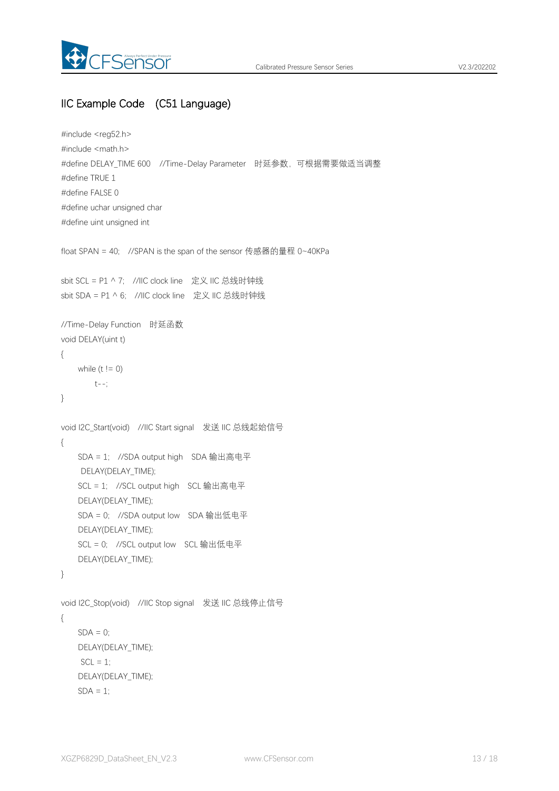

# IIC Example Code (C51 Language)

```
#include <reg52.h>
#include <math.h>
#define DELAY_TIME 600 //Time-Delay Parameter 时延参数,可根据需要做适当调整
#define TRUE 1
#define FALSE 0
#define uchar unsigned char
#define uint unsigned int
float SPAN = 40; //SPAN is the span of the sensor 传感器的量程 0~40KPa
sbit SCL = P1 ^ 7; //IIC clock line 定义 IIC 总线时钟线
sbit SDA = P1 ^ 6; //IIC clock line 定义 IIC 总线时钟线
//Time-Delay Function 时延函数
void DELAY(uint t)
{
   while (t != 0)t--;
}
void I2C_Start(void) //IIC Start signal 发送 IIC 总线起始信号
{
   SDA = 1; //SDA output high SDA 输出高电平
    DELAY(DELAY_TIME);
   SCL = 1; //SCL output high SCL 输出高电平
   DELAY(DELAY_TIME);
   SDA = 0; //SDA output low SDA 输出低电平
   DELAY(DELAY_TIME);
   SCL = 0; //SCL output low SCL 输出低电平
   DELAY(DELAY_TIME);
}
void I2C_Stop(void) //IIC Stop signal 发送 IIC 总线停止信号
{
   SDA = 0;
   DELAY(DELAY_TIME);
    SCL = 1;
   DELAY(DELAY_TIME);
   SDA = 1:
```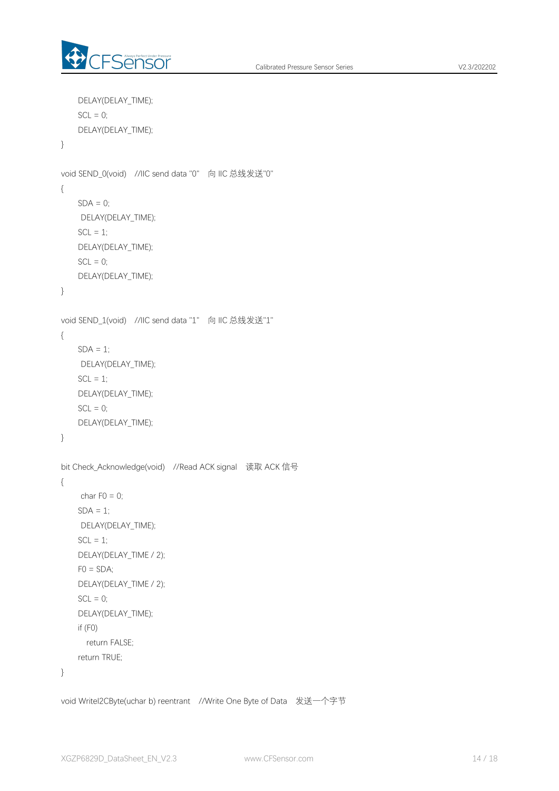

```
DELAY(DELAY_TIME);
   SCL = 0;
   DELAY(DELAY_TIME);
}
void SEND_0(void) //IIC send data "0" 向 IIC 总线发送"0"
{
   SDA = 0;
    DELAY(DELAY_TIME);
   SCL = 1;
   DELAY(DELAY_TIME);
   SCL = 0;DELAY(DELAY_TIME);
}
void SEND_1(void) //IIC send data "1" 向 IIC 总线发送"1"
{
   SDA = 1;
    DELAY(DELAY_TIME);
   SCL = 1;
   DELAY(DELAY_TIME);
   SCL = 0;
   DELAY(DELAY_TIME);
}
bit Check_Acknowledge(void) //Read ACK signal 读取 ACK 信号
{
    char F0 = 0;
    SDA = 1;
    DELAY(DELAY_TIME);
   SCL = 1;
   DELAY(DELAY_TIME / 2);
   FO = SDA;
   DELAY(DELAY_TIME / 2);
   SCL = 0;DELAY(DELAY_TIME);
   if (F0)
     return FALSE;
   return TRUE;
}
```
void WriteI2CByte(uchar b) reentrant //Write One Byte of Data 发送一个字节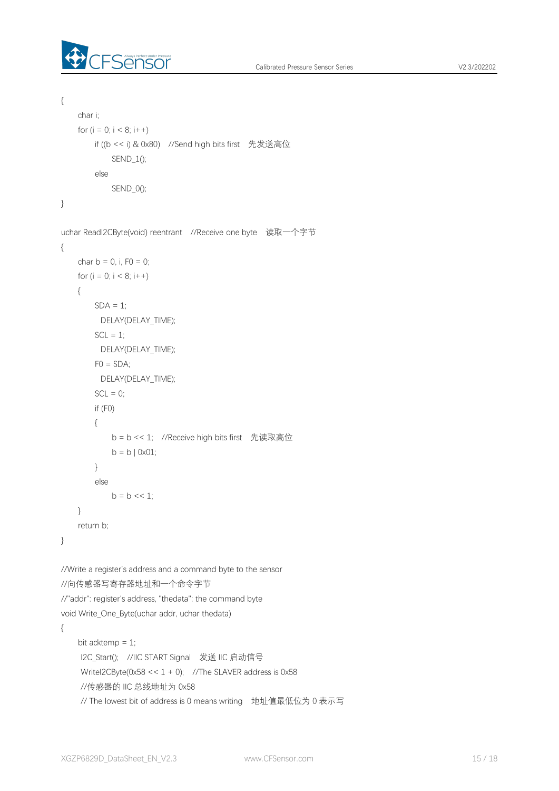

```
{
    char i;
   for (i = 0; i < 8; i++)if ((b \le i) \& 0x80) //Send high bits first 先发送高位
            SEND_1();
        else
           SEND_0();
}
uchar ReadI2CByte(void) reentrant //Receive one byte 读取一个字节
{
   char b = 0, i, F0 = 0;
   for (i = 0; i < 8; i++){
        SDA = 1;
         DELAY(DELAY_TIME);
        SCL = 1;
         DELAY(DELAY_TIME);
       FO = SDA;
         DELAY(DELAY_TIME);
       SCL = 0;
       if (F0)
       {
           b = b << 1; //Receive high bits first 先读取高位
           b = b | 0x01;}
        else
           b = b \ll 1;
    }
   return b;
}
//Write a register's address and a command byte to the sensor
//向传感器写寄存器地址和一个命令字节
//"addr": register's address, "thedata": the command byte
void Write_One_Byte(uchar addr, uchar thedata)
{
    bit acktemp = 1;
    I2C_Start(); //IIC START Signal 发送 IIC 启动信号
    WriteI2CByte(0x58 << 1 + 0); //The SLAVER address is 0x58
    //传感器的 IIC 总线地址为 0x58
    // The lowest bit of address is 0 means writing 地址值最低位为 0 表示写
```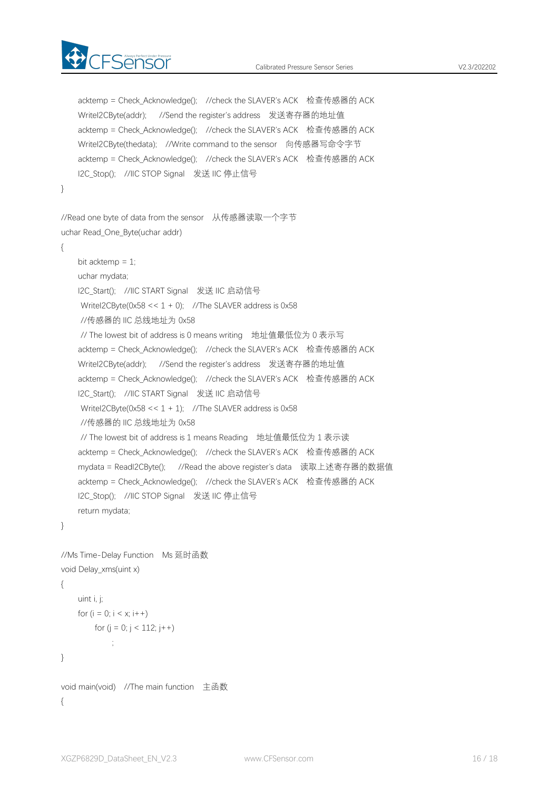

```
acktemp = Check Acknowledge(); //check the SLAVER's ACK 检查传感器的 ACK
   WriteI2CByte(addr); //Send the register's address 发送寄存器的地址值
   acktemp = Check Acknowledge(); //check the SLAVER's ACK 检查传感器的 ACK
   WriteI2CByte(thedata); //Write command to the sensor 向传感器写命令字节
   acktemp = Check_Acknowledge(); //check the SLAVER's ACK 检查传感器的 ACK
   I2C_Stop(); //IIC_STOP Signal 发送 IIC 停止信号
}
//Read one byte of data from the sensor 从传感器读取一个字节
uchar Read_One_Byte(uchar addr)
{
   bit acktemp = 1;
   uchar mydata;
   I2C_Start(); //IIC START Signal 发送 IIC 启动信号
    WriteI2CByte(0x58 < 1 + 0); //The SLAVER address is 0x58//传感器的 IIC 总线地址为 0x58
    // The lowest bit of address is 0 means writing 地址值最低位为 0 表示写
   acktemp = Check Acknowledge(); //check the SLAVER's ACK 检查传感器的 ACK
   WriteI2CByte(addr); //Send the register's address 发送寄存器的地址值
   acktemp = Check_Acknowledge(); //check the SLAVER's ACK 检查传感器的 ACK
   I2C_Start(); //IIC START Signal 发送 IIC 启动信号
    WriteI2CByte(0x58 \le 1 + 1); //The SLAVER address is 0x58//传感器的 IIC 总线地址为 0x58
    // The lowest bit of address is 1 means Reading 地址值最低位为 1 表示读
   acktemp = Check_Acknowledge(); //check the SLAVER's ACK 检查传感器的 ACK
   mydata = ReadI2CByte(); //Read the above register's data 读取上述寄存器的数据值
   acktemp = Check Acknowledge(); //check the SLAVER's ACK 检查传感器的 ACK
   I2C_Stop(); //IIC STOP Signal 发送 IIC 停止信号
   return mydata;
}
//Ms Time-Delay Function Ms 延时函数
void Delay_xms(uint x)
{
   uint i, j;
   for (i = 0; i < x; i++)for (i = 0; j < 112; j++)\frac{1}{2}
```

```
}
```

```
void main(void) //The main function 主函数
{
```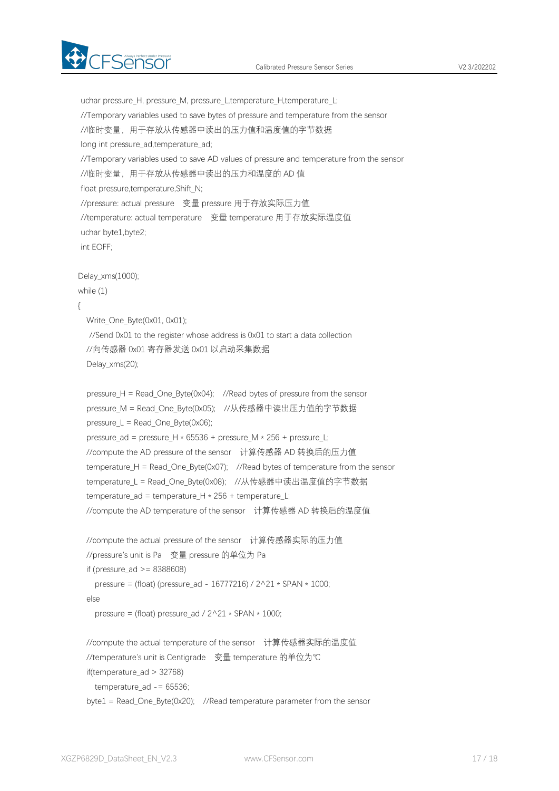

uchar pressure H, pressure M, pressure L,temperature H,temperature L; //Temporary variables used to save bytes of pressure and temperature from the sensor //临时变量,用于存放从传感器中读出的压力值和温度值的字节数据 long int pressure ad,temperature ad; //Temporary variables used to save AD values of pressure and temperature from the sensor //临时变量,用于存放从传感器中读出的压力和温度的 AD 值 float pressure,temperature,Shift\_N; //pressure: actual pressure 变量 pressure 用于存放实际压力值 //temperature: actual temperature 变量 temperature 用于存放实际温度值 uchar byte1,byte2; int EOFF; Delay\_xms(1000); while (1) { Write\_One\_Byte(0x01, 0x01); //Send 0x01 to the register whose address is 0x01 to start a data collection //向传感器 0x01 寄存器发送 0x01 以启动采集数据 Delay\_xms(20); pressure\_H = Read\_One\_Byte(0x04); //Read bytes of pressure from the sensor pressure M = Read One Byte(0x05); //从传感器中读出压力值的字节数据 pressure\_L = Read\_One\_Byte(0x06); pressure ad = pressure H  $*$  65536 + pressure M  $*$  256 + pressure L; //compute the AD pressure of the sensor 计算传感器 AD 转换后的压力值 temperature\_H = Read\_One\_Byte(0x07); //Read bytes of temperature from the sensor temperature L = Read One Byte(0x08); //从传感器中读出温度值的字节数据 temperature\_ad = temperature\_H \* 256 + temperature\_L; //compute the AD temperature of the sensor 计算传感器 AD 转换后的温度值 //compute the actual pressure of the sensor 计算传感器实际的压力值 //pressure's unit is Pa 变量 pressure 的单位为 Pa if (pressure  $ad \ge 8388608$ ) pressure = (float) (pressure\_ad - 16777216) / 2^21 \* SPAN \* 1000; else pressure = (float) pressure\_ad /  $2^221 * SPAN * 1000$ ; //compute the actual temperature of the sensor 计算传感器实际的温度值 //temperature's unit is Centigrade 变量 temperature 的单位为℃ if(temperature\_ad > 32768) temperature\_ad -= 65536; byte1 = Read One Byte(0x20); //Read temperature parameter from the sensor